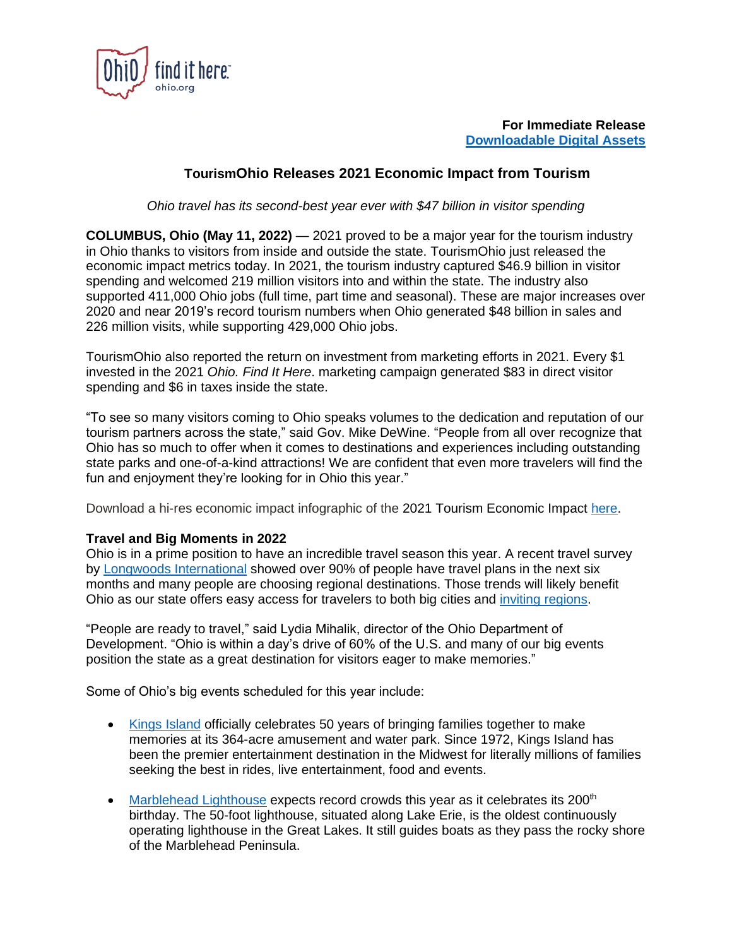

**For Immediate Release [Downloadable Digital Assets](https://ohiofindithere.canto.com/b/KEVJ2)**

## **TourismOhio Releases 2021 Economic Impact from Tourism**

*Ohio travel has its second-best year ever with \$47 billion in visitor spending*

**COLUMBUS, Ohio (May 11, 2022)** — 2021 proved to be a major year for the tourism industry in Ohio thanks to visitors from inside and outside the state. TourismOhio just released the economic impact metrics today. In 2021, the tourism industry captured \$46.9 billion in visitor spending and welcomed 219 million visitors into and within the state. The industry also supported 411,000 Ohio jobs (full time, part time and seasonal). These are major increases over 2020 and near 2019's record tourism numbers when Ohio generated \$48 billion in sales and 226 million visits, while supporting 429,000 Ohio jobs.

TourismOhio also reported the return on investment from marketing efforts in 2021. Every \$1 invested in the 2021 *Ohio. Find It Here*. marketing campaign generated \$83 in direct visitor spending and \$6 in taxes inside the state.

"To see so many visitors coming to Ohio speaks volumes to the dedication and reputation of our tourism partners across the state," said Gov. Mike DeWine. "People from all over recognize that Ohio has so much to offer when it comes to destinations and experiences including outstanding state parks and one-of-a-kind attractions! We are confident that even more travelers will find the fun and enjoyment they're looking for in Ohio this year."

Download a hi-res economic impact infographic of the 2021 Tourism Economic Impact [here.](https://ohio.org/static/uploads/pdfs/2022_TourismOhio_Economic_Impact_Card.pdf)

## **Travel and Big Moments in 2022**

Ohio is in a prime position to have an incredible travel season this year. A recent travel survey by Longwoods [International](https://longwoods-intl.com/covid-19) showed over 90% of people have travel plans in the next six months and many people are choosing regional destinations. Those trends will likely benefit Ohio as our state offers easy access for travelers to both big cities and [inviting regions.](http://www.ohio.org/)

"People are ready to travel," said Lydia Mihalik, director of the Ohio Department of Development. "Ohio is within a day's drive of 60% of the U.S. and many of our big events position the state as a great destination for visitors eager to make memories."

Some of Ohio's big events scheduled for this year include:

- [Kings Island](https://www.visitkingsisland.com/) officially celebrates 50 years of bringing families together to make memories at its 364-acre amusement and water park. Since 1972, Kings Island has been the premier entertainment destination in the Midwest for literally millions of families seeking the best in rides, live entertainment, food and events.
- [Marblehead Lighthouse](https://www.marbleheadlighthouseohio.org/200th) expects record crowds this year as it celebrates its 200<sup>th</sup> birthday. The 50-foot lighthouse, situated along Lake Erie, is the oldest continuously operating lighthouse in the Great Lakes. It still guides boats as they pass the rocky shore of the Marblehead Peninsula.